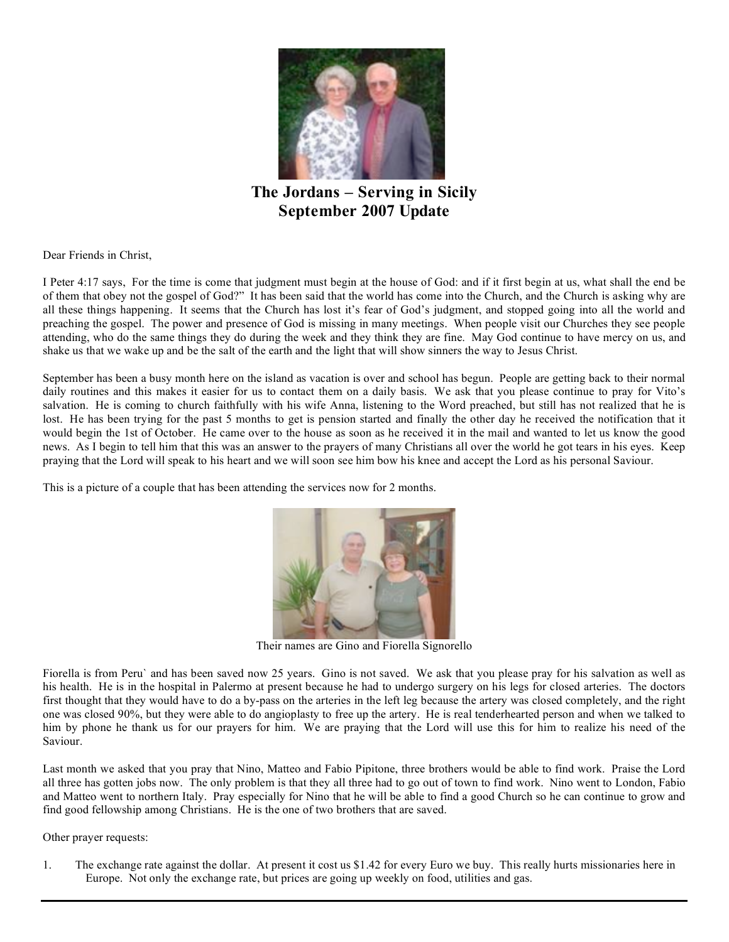

**The Jordans – Serving in Sicily September 2007 Update**

Dear Friends in Christ,

I Peter 4:17 says, For the time is come that judgment must begin at the house of God: and if it first begin at us, what shall the end be of them that obey not the gospel of God?" It has been said that the world has come into the Church, and the Church is asking why are all these things happening. It seems that the Church has lost it's fear of God's judgment, and stopped going into all the world and preaching the gospel. The power and presence of God is missing in many meetings. When people visit our Churches they see people attending, who do the same things they do during the week and they think they are fine. May God continue to have mercy on us, and shake us that we wake up and be the salt of the earth and the light that will show sinners the way to Jesus Christ.

September has been a busy month here on the island as vacation is over and school has begun. People are getting back to their normal daily routines and this makes it easier for us to contact them on a daily basis. We ask that you please continue to pray for Vito's salvation. He is coming to church faithfully with his wife Anna, listening to the Word preached, but still has not realized that he is lost. He has been trying for the past 5 months to get is pension started and finally the other day he received the notification that it would begin the 1st of October. He came over to the house as soon as he received it in the mail and wanted to let us know the good news. As I begin to tell him that this was an answer to the prayers of many Christians all over the world he got tears in his eyes. Keep praying that the Lord will speak to his heart and we will soon see him bow his knee and accept the Lord as his personal Saviour.

This is a picture of a couple that has been attending the services now for 2 months.



Their names are Gino and Fiorella Signorello

Fiorella is from Peru` and has been saved now 25 years. Gino is not saved. We ask that you please pray for his salvation as well as his health. He is in the hospital in Palermo at present because he had to undergo surgery on his legs for closed arteries. The doctors first thought that they would have to do a by-pass on the arteries in the left leg because the artery was closed completely, and the right one was closed 90%, but they were able to do angioplasty to free up the artery. He is real tenderhearted person and when we talked to him by phone he thank us for our prayers for him. We are praying that the Lord will use this for him to realize his need of the Saviour.

Last month we asked that you pray that Nino, Matteo and Fabio Pipitone, three brothers would be able to find work. Praise the Lord all three has gotten jobs now. The only problem is that they all three had to go out of town to find work. Nino went to London, Fabio and Matteo went to northern Italy. Pray especially for Nino that he will be able to find a good Church so he can continue to grow and find good fellowship among Christians. He is the one of two brothers that are saved.

## Other prayer requests:

1. The exchange rate against the dollar. At present it cost us \$1.42 for every Euro we buy. This really hurts missionaries here in Europe. Not only the exchange rate, but prices are going up weekly on food, utilities and gas.